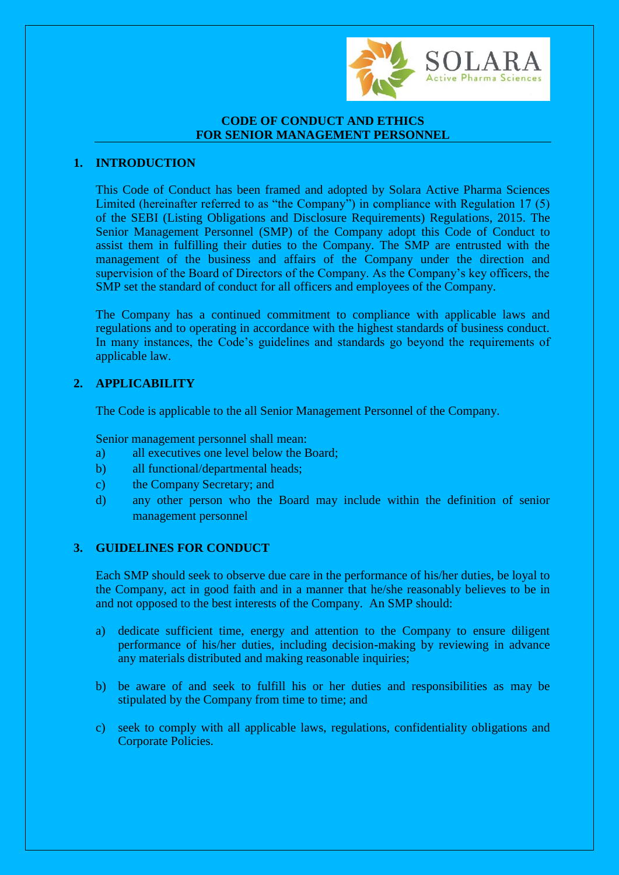

# **CODE OF CONDUCT AND ETHICS FOR SENIOR MANAGEMENT PERSONNEL**

# **1. INTRODUCTION**

This Code of Conduct has been framed and adopted by Solara Active Pharma Sciences Limited (hereinafter referred to as "the Company") in compliance with Regulation 17 (5) of the SEBI (Listing Obligations and Disclosure Requirements) Regulations, 2015. The Senior Management Personnel (SMP) of the Company adopt this Code of Conduct to assist them in fulfilling their duties to the Company. The SMP are entrusted with the management of the business and affairs of the Company under the direction and supervision of the Board of Directors of the Company. As the Company's key officers, the SMP set the standard of conduct for all officers and employees of the Company.

The Company has a continued commitment to compliance with applicable laws and regulations and to operating in accordance with the highest standards of business conduct. In many instances, the Code's guidelines and standards go beyond the requirements of applicable law.

# **2. APPLICABILITY**

The Code is applicable to the all Senior Management Personnel of the Company.

Senior management personnel shall mean:

- a) all executives one level below the Board;
- b) all functional/departmental heads;
- c) the Company Secretary; and
- d) any other person who the Board may include within the definition of senior management personnel

# **3. GUIDELINES FOR CONDUCT**

Each SMP should seek to observe due care in the performance of his/her duties, be loyal to the Company, act in good faith and in a manner that he/she reasonably believes to be in and not opposed to the best interests of the Company. An SMP should:

- a) dedicate sufficient time, energy and attention to the Company to ensure diligent performance of his/her duties, including decision-making by reviewing in advance any materials distributed and making reasonable inquiries;
- b) be aware of and seek to fulfill his or her duties and responsibilities as may be stipulated by the Company from time to time; and
- c) seek to comply with all applicable laws, regulations, confidentiality obligations and Corporate Policies.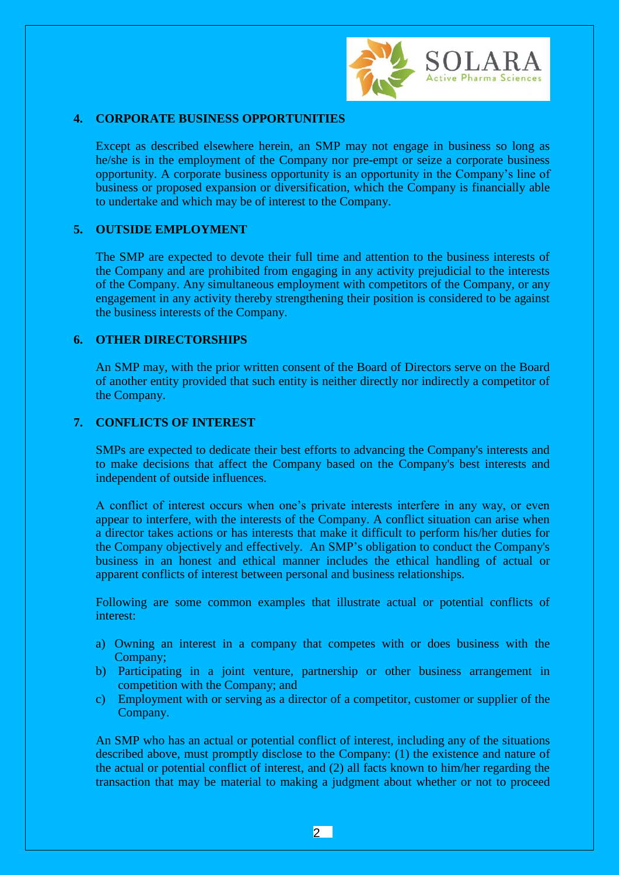

## **4. CORPORATE BUSINESS OPPORTUNITIES**

Except as described elsewhere herein, an SMP may not engage in business so long as he/she is in the employment of the Company nor pre-empt or seize a corporate business opportunity. A corporate business opportunity is an opportunity in the Company's line of business or proposed expansion or diversification, which the Company is financially able to undertake and which may be of interest to the Company.

#### **5. OUTSIDE EMPLOYMENT**

The SMP are expected to devote their full time and attention to the business interests of the Company and are prohibited from engaging in any activity prejudicial to the interests of the Company. Any simultaneous employment with competitors of the Company, or any engagement in any activity thereby strengthening their position is considered to be against the business interests of the Company.

#### **6. OTHER DIRECTORSHIPS**

An SMP may, with the prior written consent of the Board of Directors serve on the Board of another entity provided that such entity is neither directly nor indirectly a competitor of the Company.

## **7. CONFLICTS OF INTEREST**

SMPs are expected to dedicate their best efforts to advancing the Company's interests and to make decisions that affect the Company based on the Company's best interests and independent of outside influences.

A conflict of interest occurs when one's private interests interfere in any way, or even appear to interfere, with the interests of the Company. A conflict situation can arise when a director takes actions or has interests that make it difficult to perform his/her duties for the Company objectively and effectively. An SMP's obligation to conduct the Company's business in an honest and ethical manner includes the ethical handling of actual or apparent conflicts of interest between personal and business relationships.

Following are some common examples that illustrate actual or potential conflicts of interest:

- a) Owning an interest in a company that competes with or does business with the Company;
- b) Participating in a joint venture, partnership or other business arrangement in competition with the Company; and
- c) Employment with or serving as a director of a competitor, customer or supplier of the Company.

An SMP who has an actual or potential conflict of interest, including any of the situations described above, must promptly disclose to the Company: (1) the existence and nature of the actual or potential conflict of interest, and (2) all facts known to him/her regarding the transaction that may be material to making a judgment about whether or not to proceed

 $|2|$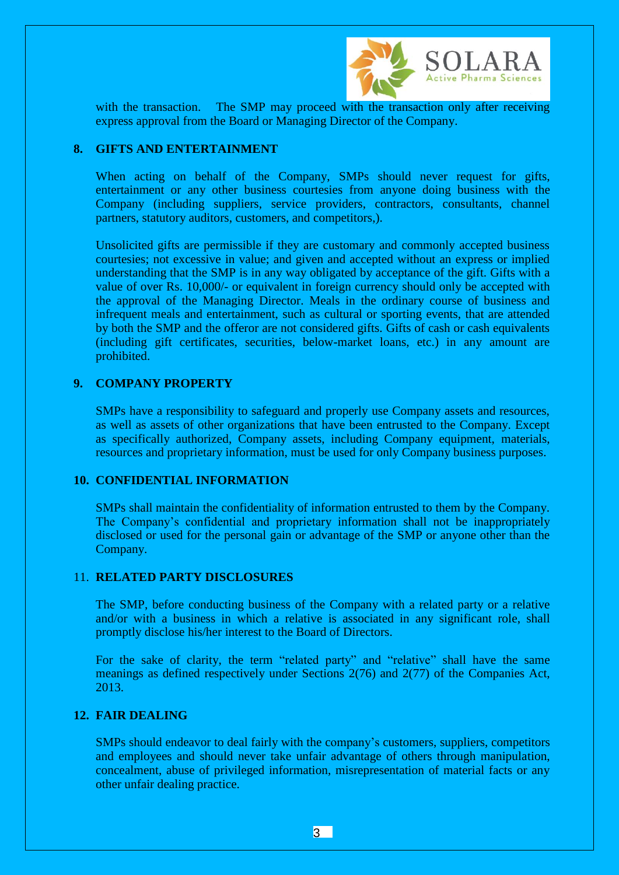

with the transaction. The SMP may proceed with the transaction only after receiving express approval from the Board or Managing Director of the Company.

#### **8. GIFTS AND ENTERTAINMENT**

When acting on behalf of the Company, SMPs should never request for gifts, entertainment or any other business courtesies from anyone doing business with the Company (including suppliers, service providers, contractors, consultants, channel partners, statutory auditors, customers, and competitors,).

Unsolicited gifts are permissible if they are customary and commonly accepted business courtesies; not excessive in value; and given and accepted without an express or implied understanding that the SMP is in any way obligated by acceptance of the gift. Gifts with a value of over Rs. 10,000/- or equivalent in foreign currency should only be accepted with the approval of the Managing Director. Meals in the ordinary course of business and infrequent meals and entertainment, such as cultural or sporting events, that are attended by both the SMP and the offeror are not considered gifts. Gifts of cash or cash equivalents (including gift certificates, securities, below-market loans, etc.) in any amount are prohibited.

## **9. COMPANY PROPERTY**

SMPs have a responsibility to safeguard and properly use Company assets and resources, as well as assets of other organizations that have been entrusted to the Company. Except as specifically authorized, Company assets, including Company equipment, materials, resources and proprietary information, must be used for only Company business purposes.

#### **10. CONFIDENTIAL INFORMATION**

SMPs shall maintain the confidentiality of information entrusted to them by the Company. The Company's confidential and proprietary information shall not be inappropriately disclosed or used for the personal gain or advantage of the SMP or anyone other than the Company.

#### 11. **RELATED PARTY DISCLOSURES**

The SMP, before conducting business of the Company with a related party or a relative and/or with a business in which a relative is associated in any significant role, shall promptly disclose his/her interest to the Board of Directors.

For the sake of clarity, the term "related party" and "relative" shall have the same meanings as defined respectively under Sections 2(76) and 2(77) of the Companies Act, 2013.

#### **12. FAIR DEALING**

SMPs should endeavor to deal fairly with the company's customers, suppliers, competitors and employees and should never take unfair advantage of others through manipulation, concealment, abuse of privileged information, misrepresentation of material facts or any other unfair dealing practice.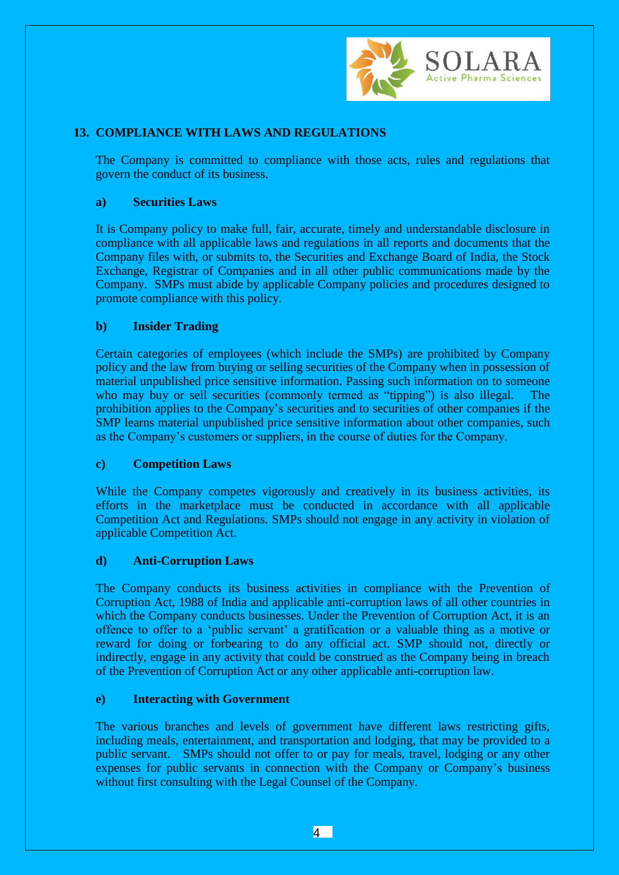

# **13. COMPLIANCE WITH LAWS AND REGULATIONS**

The Company is committed to compliance with those acts, rules and regulations that govern the conduct of its business.

# **a) Securities Laws**

It is Company policy to make full, fair, accurate, timely and understandable disclosure in compliance with all applicable laws and regulations in all reports and documents that the Company files with, or submits to, the Securities and Exchange Board of India, the Stock Exchange, Registrar of Companies and in all other public communications made by the Company. SMPs must abide by applicable Company policies and procedures designed to promote compliance with this policy.

# **b) Insider Trading**

Certain categories of employees (which include the SMPs) are prohibited by Company policy and the law from buying or selling securities of the Company when in possession of material unpublished price sensitive information. Passing such information on to someone who may buy or sell securities (commonly termed as "tipping") is also illegal. The prohibition applies to the Company's securities and to securities of other companies if the SMP learns material unpublished price sensitive information about other companies, such as the Company's customers or suppliers, in the course of duties for the Company.

## **c) Competition Laws**

While the Company competes vigorously and creatively in its business activities, its efforts in the marketplace must be conducted in accordance with all applicable Competition Act and Regulations. SMPs should not engage in any activity in violation of applicable Competition Act.

## **d) Anti-Corruption Laws**

The Company conducts its business activities in compliance with the Prevention of Corruption Act, 1988 of India and applicable anti-corruption laws of all other countries in which the Company conducts businesses. Under the Prevention of Corruption Act, it is an offence to offer to a 'public servant' a gratification or a valuable thing as a motive or reward for doing or forbearing to do any official act. SMP should not, directly or indirectly, engage in any activity that could be construed as the Company being in breach of the Prevention of Corruption Act or any other applicable anti-corruption law.

## **e) Interacting with Government**

The various branches and levels of government have different laws restricting gifts, including meals, entertainment, and transportation and lodging, that may be provided to a public servant. SMPs should not offer to or pay for meals, travel, lodging or any other expenses for public servants in connection with the Company or Company's business without first consulting with the Legal Counsel of the Company.

4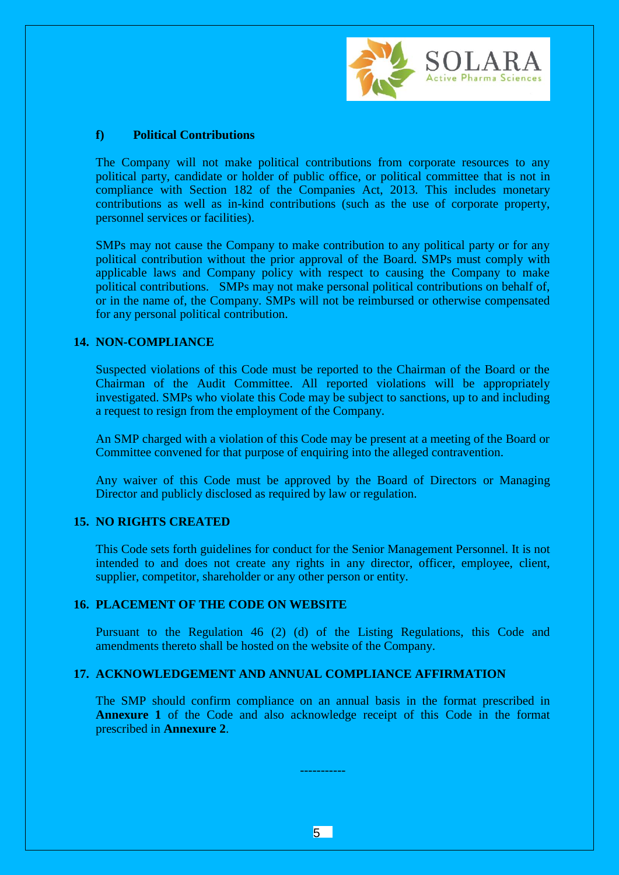

### **f) Political Contributions**

The Company will not make political contributions from corporate resources to any political party, candidate or holder of public office, or political committee that is not in compliance with Section 182 of the Companies Act, 2013. This includes monetary contributions as well as in-kind contributions (such as the use of corporate property, personnel services or facilities).

SMPs may not cause the Company to make contribution to any political party or for any political contribution without the prior approval of the Board. SMPs must comply with applicable laws and Company policy with respect to causing the Company to make political contributions. SMPs may not make personal political contributions on behalf of, or in the name of, the Company. SMPs will not be reimbursed or otherwise compensated for any personal political contribution.

### **14. NON-COMPLIANCE**

Suspected violations of this Code must be reported to the Chairman of the Board or the Chairman of the Audit Committee. All reported violations will be appropriately investigated. SMPs who violate this Code may be subject to sanctions, up to and including a request to resign from the employment of the Company.

An SMP charged with a violation of this Code may be present at a meeting of the Board or Committee convened for that purpose of enquiring into the alleged contravention.

Any waiver of this Code must be approved by the Board of Directors or Managing Director and publicly disclosed as required by law or regulation.

#### **15. NO RIGHTS CREATED**

This Code sets forth guidelines for conduct for the Senior Management Personnel. It is not intended to and does not create any rights in any director, officer, employee, client, supplier, competitor, shareholder or any other person or entity.

#### **16. PLACEMENT OF THE CODE ON WEBSITE**

Pursuant to the Regulation 46 (2) (d) of the Listing Regulations, this Code and amendments thereto shall be hosted on the website of the Company.

#### **17. ACKNOWLEDGEMENT AND ANNUAL COMPLIANCE AFFIRMATION**

The SMP should confirm compliance on an annual basis in the format prescribed in **Annexure 1** of the Code and also acknowledge receipt of this Code in the format prescribed in **Annexure 2**.

-----------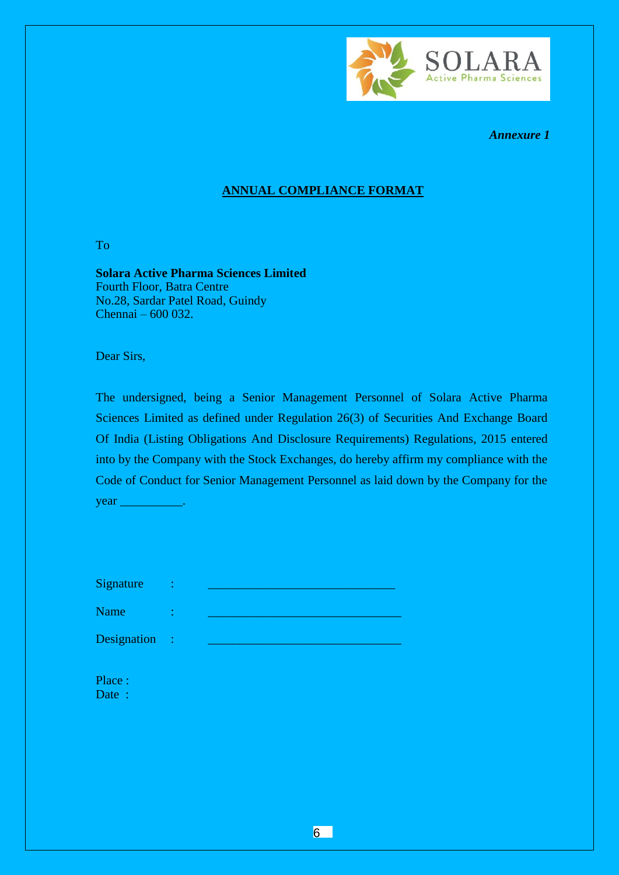

*Annexure 1*

# **ANNUAL COMPLIANCE FORMAT**

To

**Solara Active Pharma Sciences Limited**  Fourth Floor, Batra Centre No.28, Sardar Patel Road, Guindy Chennai – 600 032.

Dear Sirs,

The undersigned, being a Senior Management Personnel of Solara Active Pharma Sciences Limited as defined under Regulation 26(3) of Securities And Exchange Board Of India (Listing Obligations And Disclosure Requirements) Regulations, 2015 entered into by the Company with the Stock Exchanges, do hereby affirm my compliance with the Code of Conduct for Senior Management Personnel as laid down by the Company for the year \_\_\_\_\_\_\_\_\_\_\_\_.

| <b>Signature</b> |  |
|------------------|--|
|                  |  |

Designation :

Name : <u>\_\_\_\_\_\_\_\_\_\_\_\_\_\_\_\_\_\_\_\_\_\_\_\_\_</u>

Place : Date :